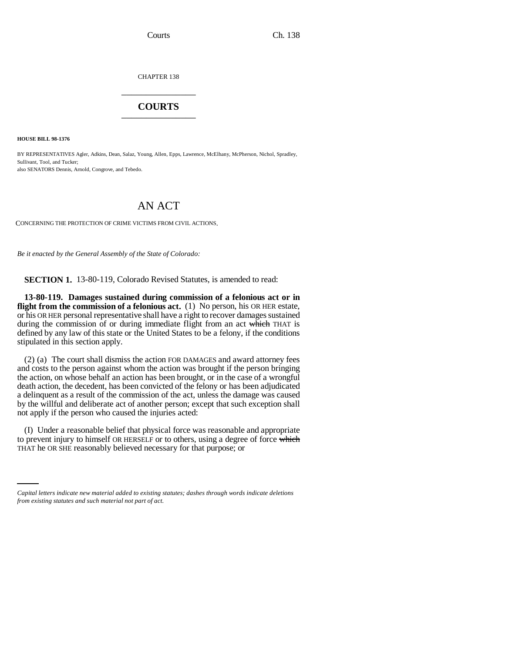CHAPTER 138 \_\_\_\_\_\_\_\_\_\_\_\_\_\_\_

## **COURTS** \_\_\_\_\_\_\_\_\_\_\_\_\_\_\_

**HOUSE BILL 98-1376**

BY REPRESENTATIVES Agler, Adkins, Dean, Salaz, Young, Allen, Epps, Lawrence, McElhany, McPherson, Nichol, Spradley, Sullivant, Tool, and Tucker; also SENATORS Dennis, Arnold, Congrove, and Tebedo.

## AN ACT

CONCERNING THE PROTECTION OF CRIME VICTIMS FROM CIVIL ACTIONS.

*Be it enacted by the General Assembly of the State of Colorado:*

**SECTION 1.** 13-80-119, Colorado Revised Statutes, is amended to read:

**13-80-119. Damages sustained during commission of a felonious act or in flight from the commission of a felonious act.** (1) No person, his OR HER estate, or his OR HER personal representative shall have a right to recover damages sustained during the commission of or during immediate flight from an act which THAT is defined by any law of this state or the United States to be a felony, if the conditions stipulated in this section apply.

(2) (a) The court shall dismiss the action FOR DAMAGES and award attorney fees and costs to the person against whom the action was brought if the person bringing the action, on whose behalf an action has been brought, or in the case of a wrongful death action, the decedent, has been convicted of the felony or has been adjudicated a delinquent as a result of the commission of the act, unless the damage was caused by the willful and deliberate act of another person; except that such exception shall not apply if the person who caused the injuries acted:

to prevent injury to himself OR HERSELF or to others, using a degree of force which (I) Under a reasonable belief that physical force was reasonable and appropriate THAT he OR SHE reasonably believed necessary for that purpose; or

*Capital letters indicate new material added to existing statutes; dashes through words indicate deletions from existing statutes and such material not part of act.*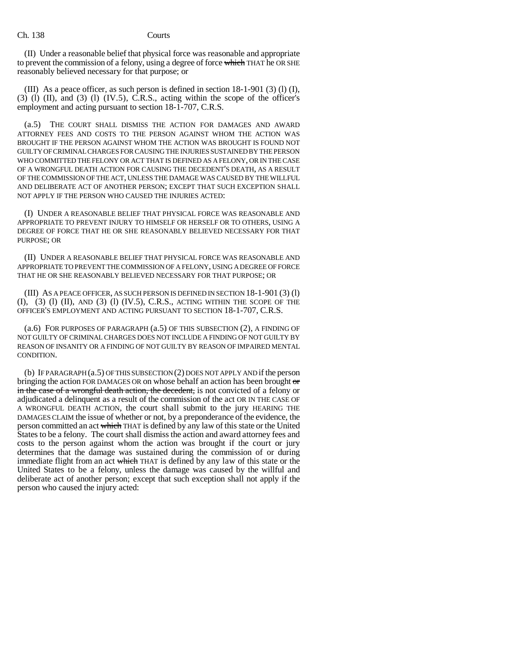Ch. 138 Courts

(II) Under a reasonable belief that physical force was reasonable and appropriate to prevent the commission of a felony, using a degree of force which THAT he OR SHE reasonably believed necessary for that purpose; or

(III) As a peace officer, as such person is defined in section  $18-1-901$  (3) (1), (I),  $(3)$  (l) (II), and (3) (l) (IV.5), C.R.S., acting within the scope of the officer's employment and acting pursuant to section 18-1-707, C.R.S.

(a.5) THE COURT SHALL DISMISS THE ACTION FOR DAMAGES AND AWARD ATTORNEY FEES AND COSTS TO THE PERSON AGAINST WHOM THE ACTION WAS BROUGHT IF THE PERSON AGAINST WHOM THE ACTION WAS BROUGHT IS FOUND NOT GUILTY OF CRIMINAL CHARGES FOR CAUSING THE INJURIES SUSTAINED BY THE PERSON WHO COMMITTED THE FELONY OR ACT THAT IS DEFINED AS A FELONY, OR IN THE CASE OF A WRONGFUL DEATH ACTION FOR CAUSING THE DECEDENT'S DEATH, AS A RESULT OF THE COMMISSION OF THE ACT, UNLESS THE DAMAGE WAS CAUSED BY THE WILLFUL AND DELIBERATE ACT OF ANOTHER PERSON; EXCEPT THAT SUCH EXCEPTION SHALL NOT APPLY IF THE PERSON WHO CAUSED THE INJURIES ACTED:

(I) UNDER A REASONABLE BELIEF THAT PHYSICAL FORCE WAS REASONABLE AND APPROPRIATE TO PREVENT INJURY TO HIMSELF OR HERSELF OR TO OTHERS, USING A DEGREE OF FORCE THAT HE OR SHE REASONABLY BELIEVED NECESSARY FOR THAT PURPOSE; OR

(II) UNDER A REASONABLE BELIEF THAT PHYSICAL FORCE WAS REASONABLE AND APPROPRIATE TO PREVENT THE COMMISSION OF A FELONY, USING A DEGREE OF FORCE THAT HE OR SHE REASONABLY BELIEVED NECESSARY FOR THAT PURPOSE; OR

(III) AS A PEACE OFFICER, AS SUCH PERSON IS DEFINED IN SECTION 18-1-901 (3) (l)  $(I), (3)$   $(I)$   $(II),$  AND  $(3)$   $(I)$   $(IV.5),$  C.R.S., ACTING WITHIN THE SCOPE OF THE OFFICER'S EMPLOYMENT AND ACTING PURSUANT TO SECTION 18-1-707, C.R.S.

(a.6) FOR PURPOSES OF PARAGRAPH (a.5) OF THIS SUBSECTION (2), A FINDING OF NOT GUILTY OF CRIMINAL CHARGES DOES NOT INCLUDE A FINDING OF NOT GUILTY BY REASON OF INSANITY OR A FINDING OF NOT GUILTY BY REASON OF IMPAIRED MENTAL CONDITION.

(b) IF PARAGRAPH (a.5) OF THIS SUBSECTION (2) DOES NOT APPLY AND if the person bringing the action FOR DAMAGES OR on whose behalf an action has been brought  $\sigma$ in the case of a wrongful death action, the decedent, is not convicted of a felony or adjudicated a delinquent as a result of the commission of the act OR IN THE CASE OF A WRONGFUL DEATH ACTION, the court shall submit to the jury HEARING THE DAMAGES CLAIM the issue of whether or not, by a preponderance of the evidence, the person committed an act which THAT is defined by any law of this state or the United States to be a felony. The court shall dismiss the action and award attorney fees and costs to the person against whom the action was brought if the court or jury determines that the damage was sustained during the commission of or during immediate flight from an act which THAT is defined by any law of this state or the United States to be a felony, unless the damage was caused by the willful and deliberate act of another person; except that such exception shall not apply if the person who caused the injury acted: